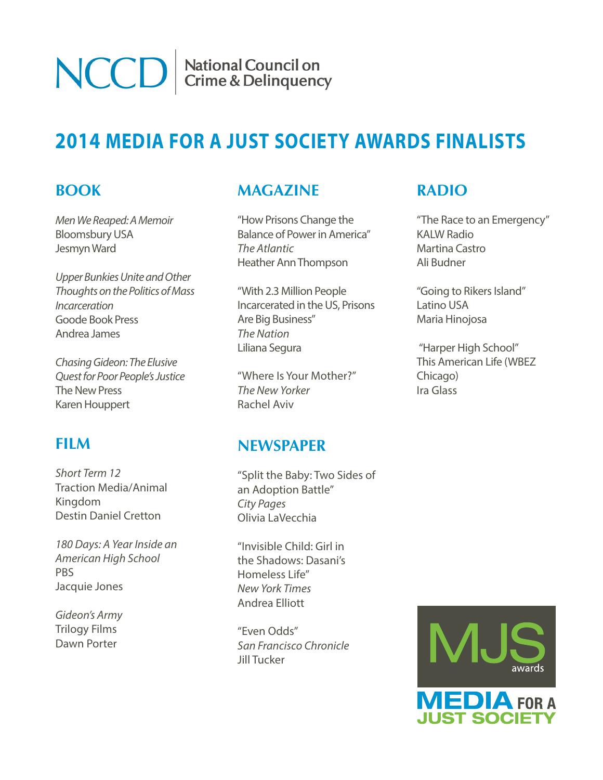National Council on<br>Crime & Delinquency

# **2014 MEDIA FOR A JUST SOCIETY AWARDS FINALISTS**

### **BOOK**

*[Men We Reaped: A Memoir](http://www.amazon.com/dp/160819521X/?tag=slatmaga-20)* Bloomsbury USA Jesmyn Ward

**NCCD** 

*[Upper Bunkies Unite and Other](http://www.amazon.com/Upper-Bunkies-Unite-Thoughts-Incarceration/dp/0988759306/ref=cm_sw_em_r_dp_QB.bsb1BRX7A1KSW_tt)  [Thoughts on the Politics of Mass](http://www.amazon.com/Upper-Bunkies-Unite-Thoughts-Incarceration/dp/0988759306/ref=cm_sw_em_r_dp_QB.bsb1BRX7A1KSW_tt)  [Incarceration](http://www.amazon.com/Upper-Bunkies-Unite-Thoughts-Incarceration/dp/0988759306/ref=cm_sw_em_r_dp_QB.bsb1BRX7A1KSW_tt)* Goode Book Press Andrea James

*[Chasing Gideon: The Elusive](http://www.amazon.com/Chasing-Gideon-Elusive-Peoples-Justice/dp/1595588698)  [Quest for Poor People's Justice](http://www.amazon.com/Chasing-Gideon-Elusive-Peoples-Justice/dp/1595588698)* The New Press Karen Houppert

## **FILM**

*[Short Term 12](http://shortterm12.com/)* Traction Media/Animal Kingdom Destin Daniel Cretton

*[180 Days: A Year Inside an](http://www.pbs.org/program/180-days-american-school/)  [American High School](http://www.pbs.org/program/180-days-american-school/)* PB[S](http://www.pbs.org/program/180-days-american-school/) Jacquie Jones

*[Gideon's Army](http://gideonsarmythefilm.com/video)* Trilogy Films Dawn Porter

# **MAGAZINE**

["How Prisons Change the](http://m.theatlantic.com/national/archive/2013/10/how-prisons-have-changed-americas-electoral-politics/280341/)  [Balance of Power in America"](http://m.theatlantic.com/national/archive/2013/10/how-prisons-have-changed-americas-electoral-politics/280341/) *The Atlantic* Heather Ann Thompson

["With 2.3 Million People](http://www.thenation.com/prison-profiteers)  [Incarcerated in the US, Prisons](http://www.thenation.com/prison-profiteers)  [Are Big Business"](http://www.thenation.com/prison-profiteers) *The Nation* Liliana Segura

"Where Is Your Mother?" *The New Yorker* Rachel Aviv

#### **NEWSPAPER**

["Split the Baby: Two Sides of](http://www.citypages.com/2013-01-16/news/split-the-baby-two-sides-of-an-adoption-battle/)  [an Adoption Battle"](http://www.citypages.com/2013-01-16/news/split-the-baby-two-sides-of-an-adoption-battle/) *City Pages* Olivia LaVecchia

["Invisible Child: Girl in](http://www.nytimes.com/projects/2013/invisible-child/?ref=international-home#/?chapt=1)  [the Shadows: Dasani's](http://www.nytimes.com/projects/2013/invisible-child/?ref=international-home#/?chapt=1)  [Homeless Life"](http://www.nytimes.com/projects/2013/invisible-child/?ref=international-home#/?chapt=1) *New York Times* Andrea Elliott

["Even Odds"](http://www.sfchronicle.com/local/bayarea/item/Even-Odds-Part-1-22785.php) *San Francisco Chronicle* Jill Tucker

# **RADIO**

["The Race to an Emergency"](http://kalw.org/post/race-emergency-kalw-news-documentary-tracing-path-9-1-1-call-oakland) KALW Radi[o](http://kalw.org/post/race-emergency-kalw-news-documentary-tracing-path-9-1-1-call-oakland) Martina Castro Ali Budner

["Going to Rikers Island"](http://latinousa.org/2013/11/15/rikers/) Latino USA Maria Hinojosa

["Harper High School"](http://www.thisamericanlife.org/radio-archives/episode/487/harper-high-school-part-one) This American Life (WBEZ Chicago) Ira Glass